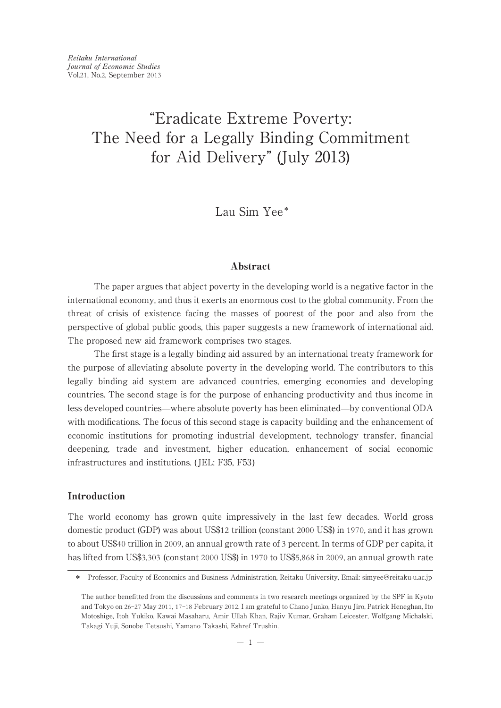Lau Sim Yee\*

# Abstract

The paper argues that abject poverty in the developing world is a negative factor in the international economy, and thus it exerts an enormous cost to the global community. From the threat of crisis of existence facing the masses of poorest of the poor and also from the perspective of global public goods, this paper suggests a new framework of international aid. The proposed new aid framework comprises two stages.

The first stage is a legally binding aid assured by an international treaty framework for the purpose of alleviating absolute poverty in the developing world. The contributors to this legally binding aid system are advanced countries, emerging economies and developing countries. The second stage is for the purpose of enhancing productivity and thus income in less developed countries̶where absolute poverty has been eliminated̶by conventional ODA with modifications. The focus of this second stage is capacity building and the enhancement of economic institutions for promoting industrial development, technology transfer, financial deepening, trade and investment, higher education, enhancement of social economic infrastructures and institutions. ( JEL: F35, F53)

# Introduction

The world economy has grown quite impressively in the last few decades. World gross domestic product (GDP) was about US\$12 trillion (constant 2000 US\$) in 1970, and it has grown to about US\$40 trillion in 2009, an annual growth rate of 3 percent. In terms of GDP per capita, it has lifted from US\$3,303 (constant 2000 US\$) in 1970 to US\$5,868 in 2009, an annual growth rate

<sup>\*</sup> Professor, Faculty of Economics and Business Administration, Reitaku University, Email: simyee@reitaku-u.ac.jp

The author benefitted from the discussions and comments in two research meetings organized by the SPF in Kyoto and Tokyo on 26-27 May 2011, 17-18 February 2012. I am grateful to Chano Junko, Hanyu Jiro, Patrick Heneghan, Ito Motoshige, Itoh Yukiko, Kawai Masaharu, Amir Ullah Khan, Rajiv Kumar, Graham Leicester, Wolfgang Michalski, Takagi Yuji, Sonobe Tetsushi, Yamano Takashi, Eshref Trushin.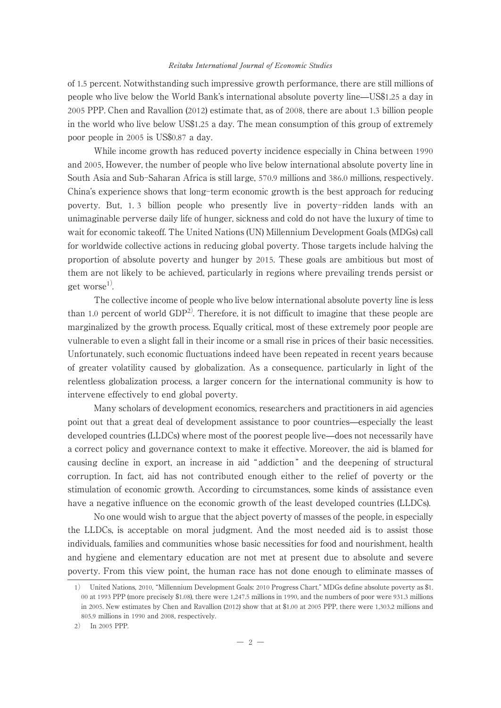of 1.5 percent. Notwithstanding such impressive growth performance, there are still millions of people who live below the World Bank's international absolute poverty line̶US\$1.25 a day in 2005 PPP. Chen and Ravallion (2012) estimate that, as of 2008, there are about 1.3 billion people in the world who live below US\$1.25 a day. The mean consumption of this group of extremely poor people in 2005 is US\$0.87 a day.

While income growth has reduced poverty incidence especially in China between 1990 and 2005, However, the number of people who live below international absolute poverty line in South Asia and Sub-Saharan Africa is still large, 570.9 millions and 386.0 millions, respectively. China's experience shows that long-term economic growth is the best approach for reducing poverty. But, 1. 3 billion people who presently live in poverty-ridden lands with an unimaginable perverse daily life of hunger, sickness and cold do not have the luxury of time to wait for economic takeoff. The United Nations (UN) Millennium Development Goals (MDGs) call for worldwide collective actions in reducing global poverty. Those targets include halving the proportion of absolute poverty and hunger by 2015. These goals are ambitious but most of them are not likely to be achieved, particularly in regions where prevailing trends persist or get worse<sup>1)</sup>.

The collective income of people who live below international absolute poverty line is less than 1.0 percent of world  $GDP<sup>2</sup>$ . Therefore, it is not difficult to imagine that these people are marginalized by the growth process. Equally critical, most of these extremely poor people are vulnerable to even a slight fall in their income or a small rise in prices of their basic necessities. Unfortunately, such economic fluctuations indeed have been repeated in recent years because of greater volatility caused by globalization. As a consequence, particularly in light of the relentless globalization process, a larger concern for the international community is how to intervene effectively to end global poverty.

Many scholars of development economics, researchers and practitioners in aid agencies point out that a great deal of development assistance to poor countries̶especially the least developed countries (LLDCs) where most of the poorest people live—does not necessarily have a correct policy and governance context to make it effective. Moreover, the aid is blamed for causing decline in export, an increase in aid " addiction " and the deepening of structural corruption. In fact, aid has not contributed enough either to the relief of poverty or the stimulation of economic growth. According to circumstances, some kinds of assistance even have a negative influence on the economic growth of the least developed countries (LLDCs).

No one would wish to argue that the abject poverty of masses of the people, in especially the LLDCs, is acceptable on moral judgment. And the most needed aid is to assist those individuals, families and communities whose basic necessities for food and nourishment, health and hygiene and elementary education are not met at present due to absolute and severe poverty. From this view point, the human race has not done enough to eliminate masses of

<sup>1</sup>) United Nations, 2010, "Millennium Development Goals: 2010 Progress Chart." MDGs define absolute poverty as \$1. 00 at 1993 PPP (more precisely \$1.08), there were 1,247.5 millions in 1990, and the numbers of poor were 931.3 millions in 2005. New estimates by Chen and Ravallion (2012) show that at \$1.00 at 2005 PPP, there were 1,303.2 millions and 805.9 millions in 1990 and 2008, respectively.

<sup>2</sup>) In 2005 PPP.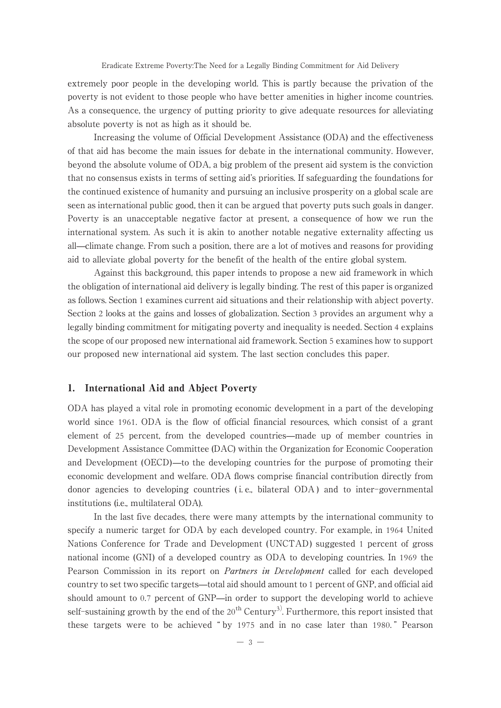extremely poor people in the developing world. This is partly because the privation of the poverty is not evident to those people who have better amenities in higher income countries. As a consequence, the urgency of putting priority to give adequate resources for alleviating absolute poverty is not as high as it should be.

Increasing the volume of Official Development Assistance (ODA) and the effectiveness of that aid has become the main issues for debate in the international community. However, beyond the absolute volume of ODA, a big problem of the present aid system is the conviction that no consensus exists in terms of setting aid's priorities. If safeguarding the foundations for the continued existence of humanity and pursuing an inclusive prosperity on a global scale are seen as international public good, then it can be argued that poverty puts such goals in danger. Poverty is an unacceptable negative factor at present, a consequence of how we run the international system. As such it is akin to another notable negative externality affecting us all̶climate change. From such a position, there are a lot of motives and reasons for providing aid to alleviate global poverty for the benefit of the health of the entire global system.

Against this background, this paper intends to propose a new aid framework in which the obligation of international aid delivery is legally binding. The rest of this paper is organized as follows. Section 1 examines current aid situations and their relationship with abject poverty. Section 2 looks at the gains and losses of globalization. Section 3 provides an argument why a legally binding commitment for mitigating poverty and inequality is needed. Section 4 explains the scope of our proposed new international aid framework. Section 5 examines how to support our proposed new international aid system. The last section concludes this paper.

## 1. International Aid and Abject Poverty

ODA has played a vital role in promoting economic development in a part of the developing world since 1961. ODA is the flow of official financial resources, which consist of a grant element of 25 percent, from the developed countries̶made up of member countries in Development Assistance Committee (DAC) within the Organization for Economic Cooperation and Development (OECD)—to the developing countries for the purpose of promoting their economic development and welfare. ODA flows comprise financial contribution directly from donor agencies to developing countries ( i. e., bilateral ODA ) and to inter-governmental institutions (i.e., multilateral ODA).

In the last five decades, there were many attempts by the international community to specify a numeric target for ODA by each developed country. For example, in 1964 United Nations Conference for Trade and Development (UNCTAD) suggested 1 percent of gross national income (GNI) of a developed country as ODA to developing countries. In 1969 the Pearson Commission in its report on Partners in Development called for each developed country to set two specific targets̶total aid should amount to 1 percent of GNP, and official aid should amount to 0.7 percent of GNP̶in order to support the developing world to achieve self-sustaining growth by the end of the  $20^{th}$  Century<sup>3)</sup>. Furthermore, this report insisted that these targets were to be achieved " by 1975 and in no case later than 1980. " Pearson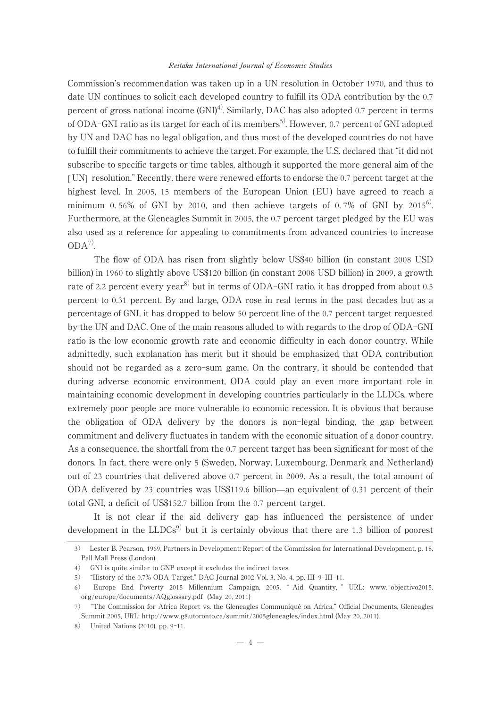Commission's recommendation was taken up in a UN resolution in October 1970, and thus to date UN continues to solicit each developed country to fulfill its ODA contribution by the 0.7 percent of gross national income  $(GND)^4$ . Similarly, DAC has also adopted 0.7 percent in terms of ODA-GNI ratio as its target for each of its members<sup>5)</sup>. However, 0.7 percent of GNI adopted by UN and DAC has no legal obligation, and thus most of the developed countries do not have to fulfill their commitments to achieve the target. For example, the U.S. declared that "it did not subscribe to specific targets or time tables, although it supported the more general aim of the [ UN] resolution." Recently, there were renewed efforts to endorse the 0.7 percent target at the highest level. In 2005, 15 members of the European Union (EU) have agreed to reach a minimum 0.56% of GNI by 2010, and then achieve targets of 0.7% of GNI by  $2015^{\circ}$ . Furthermore, at the Gleneagles Summit in 2005, the 0.7 percent target pledged by the EU was also used as a reference for appealing to commitments from advanced countries to increase  $ODA^{7}$ .

The flow of ODA has risen from slightly below US\$40 billion (in constant 2008 USD billion) in 1960 to slightly above US\$120 billion (in constant 2008 USD billion) in 2009, a growth rate of 2.2 percent every year<sup>8)</sup> but in terms of ODA-GNI ratio, it has dropped from about 0.5 percent to 0.31 percent. By and large, ODA rose in real terms in the past decades but as a percentage of GNI, it has dropped to below 50 percent line of the 0.7 percent target requested by the UN and DAC. One of the main reasons alluded to with regards to the drop of ODA-GNI ratio is the low economic growth rate and economic difficulty in each donor country. While admittedly, such explanation has merit but it should be emphasized that ODA contribution should not be regarded as a zero-sum game. On the contrary, it should be contended that during adverse economic environment, ODA could play an even more important role in maintaining economic development in developing countries particularly in the LLDCs, where extremely poor people are more vulnerable to economic recession. It is obvious that because the obligation of ODA delivery by the donors is non-legal binding, the gap between commitment and delivery fluctuates in tandem with the economic situation of a donor country. As a consequence, the shortfall from the 0.7 percent target has been significant for most of the donors. In fact, there were only 5 (Sweden, Norway, Luxembourg, Denmark and Netherland) out of 23 countries that delivered above 0.7 percent in 2009. As a result, the total amount of ODA delivered by 23 countries was US\$119.6 billion̶an equivalent of 0.31 percent of their total GNI, a deficit of US\$152.7 billion from the 0.7 percent target.

It is not clear if the aid delivery gap has influenced the persistence of under development in the  $LLDCs<sup>9</sup>$  but it is certainly obvious that there are 1.3 billion of poorest

<sup>3</sup>) Lester B. Pearson, 1969, Partners in Development: Report of the Commission for International Development, p. 18, Pall Mall Press (London).

<sup>4</sup>) GNI is quite similar to GNP except it excludes the indirect taxes.

<sup>5</sup>) "History of the 0.7% ODA Target," DAC Journal 2002 Vol. 3, No. 4, pp. III-9-III-11.

<sup>6</sup>) Europe End Poverty 2015 Millennium Campaign, 2005, " Aid Quantity, " URL: www. objectivo2015. org/europe/documents/AQglossary.pdf (May 20, 2011)

<sup>7</sup>) "The Commission for Africa Report vs. the Gleneagles Communiqué on Africa," Official Documents, Gleneagles Summit 2005, URL: http://www.g8.utoronto.ca/summit/2005gleneagles/index.html (May 20, 2011).

<sup>8</sup>) United Nations (2010), pp. 9-11.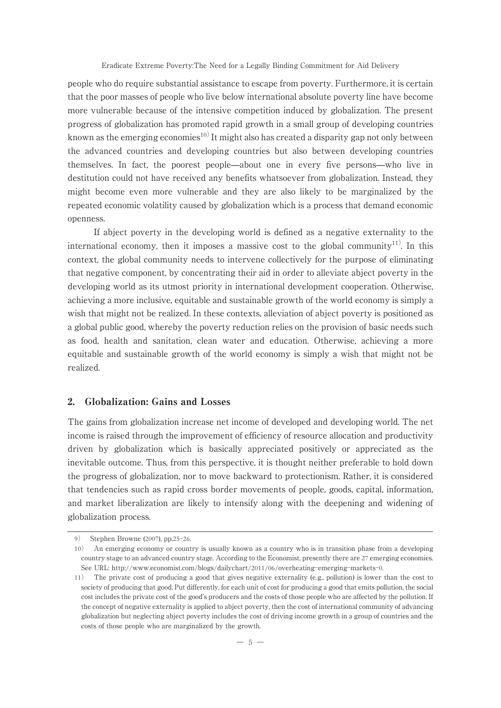people who do require substantial assistance to escape from poverty. Furthermore, it is certain that the poor masses of people who live below international absolute poverty line have become more vulnerable because of the intensive competition induced by globalization. The present progress of globalization has promoted rapid growth in a small group of developing countries known as the emerging economies<sup>10)</sup>It might also has created a disparity gap not only between the advanced countries and developing countries but also between developing countries themselves. In fact, the poorest people̶about one in every five persons̶who live in destitution could not have received any benefits whatsoever from globalization. Instead, they might become even more vulnerable and they are also likely to be marginalized by the repeated economic volatility caused by globalization which is a process that demand economic openness.

If abject poverty in the developing world is defined as a negative externality to the international economy, then it imposes a massive cost to the global community<sup>11</sup>. In this context, the global community needs to intervene collectively for the purpose of eliminating that negative component, by concentrating their aid in order to alleviate abject poverty in the developing world as its utmost priority in international development cooperation. Otherwise, achieving a more inclusive, equitable and sustainable growth of the world economy is simply a wish that might not be realized. In these contexts, alleviation of abject poverty is positioned as a global public good, whereby the poverty reduction relies on the provision of basic needs such as food, health and sanitation, clean water and education. Otherwise, achieving a more equitable and sustainable growth of the world economy is simply a wish that might not be realized.

# 2. Globalization: Gains and Losses

The gains from globalization increase net income of developed and developing world. The net income is raised through the improvement of efficiency of resource allocation and productivity driven by globalization which is basically appreciated positively or appreciated as the inevitable outcome. Thus, from this perspective, it is thought neither preferable to hold down the progress of globalization, nor to move backward to protectionism. Rather, it is considered that tendencies such as rapid cross border movements of people, goods, capital, information, and market liberalization are likely to intensify along with the deepening and widening of globalization process.

<sup>9</sup>) Stephen Browne (2007), pp.25-26.

<sup>10</sup>) An emerging economy or country is usually known as a country who is in transition phase from a developing country stage to an advanced country stage. According to the Economist, presently there are 27 emerging economies. See URL: http://www.economist.com/blogs/dailychart/2011/06/overheating-emerging-markets-0.

<sup>11</sup>) The private cost of producing a good that gives negative externality (e.g., pollution) is lower than the cost to society of producing that good. Put differently, for each unit of cost for producing a good that emits pollution, the social cost includes the private cost of the good's producers and the costs of those people who are affected by the pollution. If the concept of negative externality is applied to abject poverty, then the cost of international community of advancing globalization but neglecting abject poverty includes the cost of driving income growth in a group of countries and the costs of those people who are marginalized by the growth.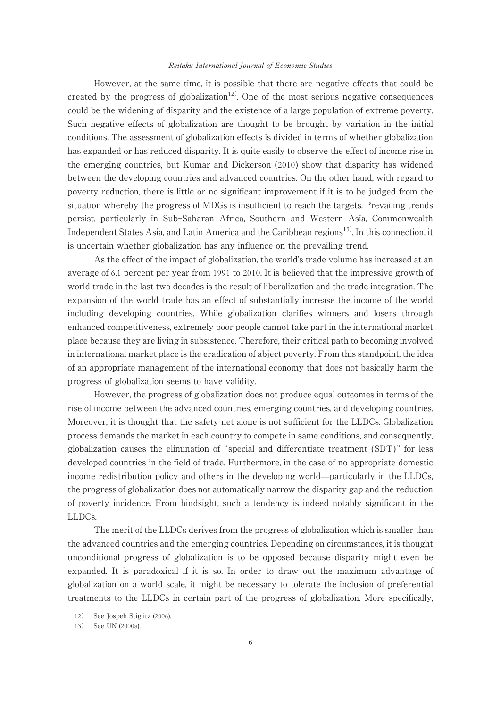However, at the same time, it is possible that there are negative effects that could be created by the progress of globalization<sup>12)</sup>. One of the most serious negative consequences could be the widening of disparity and the existence of a large population of extreme poverty. Such negative effects of globalization are thought to be brought by variation in the initial conditions. The assessment of globalization effects is divided in terms of whether globalization has expanded or has reduced disparity. It is quite easily to observe the effect of income rise in the emerging countries, but Kumar and Dickerson (2010) show that disparity has widened between the developing countries and advanced countries. On the other hand, with regard to poverty reduction, there is little or no significant improvement if it is to be judged from the situation whereby the progress of MDGs is insufficient to reach the targets. Prevailing trends persist, particularly in Sub-Saharan Africa, Southern and Western Asia, Commonwealth Independent States Asia, and Latin America and the Caribbean regions<sup>13)</sup>. In this connection, it is uncertain whether globalization has any influence on the prevailing trend.

As the effect of the impact of globalization, the world's trade volume has increased at an average of 6.1 percent per year from 1991 to 2010. It is believed that the impressive growth of world trade in the last two decades is the result of liberalization and the trade integration. The expansion of the world trade has an effect of substantially increase the income of the world including developing countries. While globalization clarifies winners and losers through enhanced competitiveness, extremely poor people cannot take part in the international market place because they are living in subsistence. Therefore, their critical path to becoming involved in international market place is the eradication of abject poverty. From this standpoint, the idea of an appropriate management of the international economy that does not basically harm the progress of globalization seems to have validity.

However, the progress of globalization does not produce equal outcomes in terms of the rise of income between the advanced countries, emerging countries, and developing countries. Moreover, it is thought that the safety net alone is not sufficient for the LLDCs. Globalization process demands the market in each country to compete in same conditions, and consequently, globalization causes the elimination of " special and differentiate treatment (SDT) " for less developed countries in the field of trade. Furthermore, in the case of no appropriate domestic income redistribution policy and others in the developing world̶particularly in the LLDCs, the progress of globalization does not automatically narrow the disparity gap and the reduction of poverty incidence. From hindsight, such a tendency is indeed notably significant in the LLDCs.

The merit of the LLDCs derives from the progress of globalization which is smaller than the advanced countries and the emerging countries. Depending on circumstances, it is thought unconditional progress of globalization is to be opposed because disparity might even be expanded. It is paradoxical if it is so. In order to draw out the maximum advantage of globalization on a world scale, it might be necessary to tolerate the inclusion of preferential treatments to the LLDCs in certain part of the progress of globalization. More specifically,

<sup>12</sup>) See Jospeh Stiglitz (2006).

<sup>13</sup>) See UN (2000a).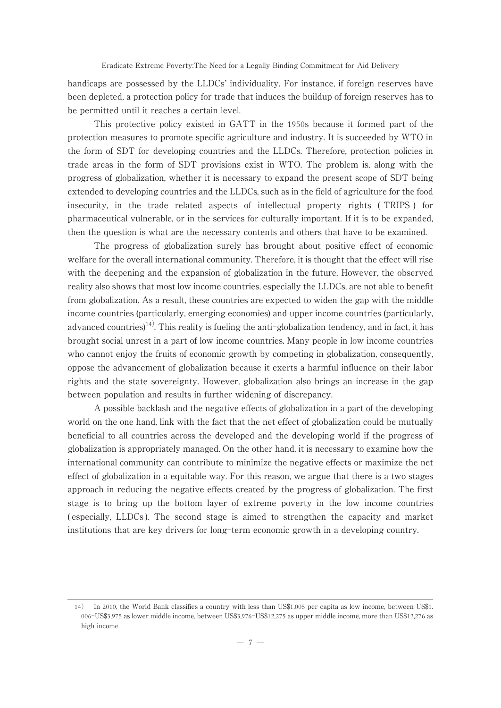handicaps are possessed by the LLDCs' individuality. For instance, if foreign reserves have been depleted, a protection policy for trade that induces the buildup of foreign reserves has to be permitted until it reaches a certain level.

This protective policy existed in GATT in the 1950s because it formed part of the protection measures to promote specific agriculture and industry. It is succeeded by WTO in the form of SDT for developing countries and the LLDCs. Therefore, protection policies in trade areas in the form of SDT provisions exist in WTO. The problem is, along with the progress of globalization, whether it is necessary to expand the present scope of SDT being extended to developing countries and the LLDCs, such as in the field of agriculture for the food insecurity, in the trade related aspects of intellectual property rights ( TRIPS ) for pharmaceutical vulnerable, or in the services for culturally important. If it is to be expanded, then the question is what are the necessary contents and others that have to be examined.

The progress of globalization surely has brought about positive effect of economic welfare for the overall international community. Therefore, it is thought that the effect will rise with the deepening and the expansion of globalization in the future. However, the observed reality also shows that most low income countries, especially the LLDCs, are not able to benefit from globalization. As a result, these countries are expected to widen the gap with the middle income countries (particularly, emerging economies) and upper income countries (particularly, advanced countries)<sup>14)</sup>. This reality is fueling the anti-globalization tendency, and in fact, it has brought social unrest in a part of low income countries. Many people in low income countries who cannot enjoy the fruits of economic growth by competing in globalization, consequently, oppose the advancement of globalization because it exerts a harmful influence on their labor rights and the state sovereignty. However, globalization also brings an increase in the gap between population and results in further widening of discrepancy.

A possible backlash and the negative effects of globalization in a part of the developing world on the one hand, link with the fact that the net effect of globalization could be mutually beneficial to all countries across the developed and the developing world if the progress of globalization is appropriately managed. On the other hand, it is necessary to examine how the international community can contribute to minimize the negative effects or maximize the net effect of globalization in a equitable way. For this reason, we argue that there is a two stages approach in reducing the negative effects created by the progress of globalization. The first stage is to bring up the bottom layer of extreme poverty in the low income countries ( especially, LLDCs ). The second stage is aimed to strengthen the capacity and market institutions that are key drivers for long-term economic growth in a developing country.

<sup>14</sup>) In 2010, the World Bank classifies a country with less than US\$1,005 per capita as low income, between US\$1. 006-US\$3,975 as lower middle income, between US\$3,976-US\$12,275 as upper middle income, more than US\$12,276 as high income.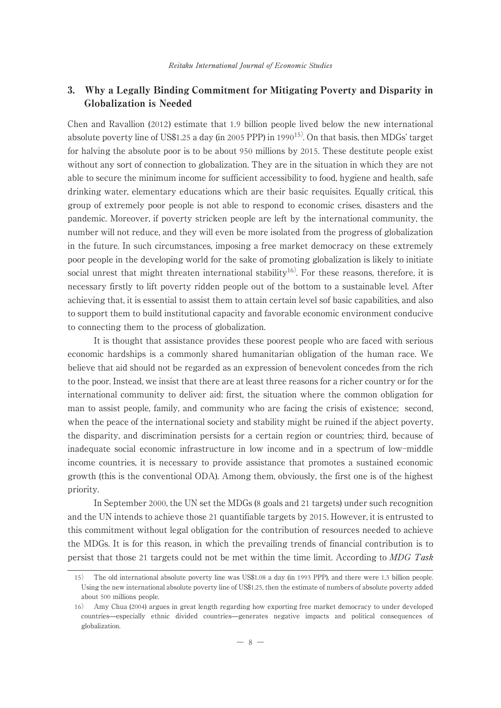# 3. Why a Legally Binding Commitment for Mitigating Poverty and Disparity in Globalization is Needed

Chen and Ravallion (2012) estimate that 1.9 billion people lived below the new international absolute poverty line of US\$1.25 a day (in 2005 PPP) in 199015). On that basis, then MDGs' target for halving the absolute poor is to be about 950 millions by 2015. These destitute people exist without any sort of connection to globalization. They are in the situation in which they are not able to secure the minimum income for sufficient accessibility to food, hygiene and health, safe drinking water, elementary educations which are their basic requisites. Equally critical, this group of extremely poor people is not able to respond to economic crises, disasters and the pandemic. Moreover, if poverty stricken people are left by the international community, the number will not reduce, and they will even be more isolated from the progress of globalization in the future. In such circumstances, imposing a free market democracy on these extremely poor people in the developing world for the sake of promoting globalization is likely to initiate social unrest that might threaten international stability<sup>16)</sup>. For these reasons, therefore, it is necessary firstly to lift poverty ridden people out of the bottom to a sustainable level. After achieving that, it is essential to assist them to attain certain level sof basic capabilities, and also to support them to build institutional capacity and favorable economic environment conducive to connecting them to the process of globalization.

It is thought that assistance provides these poorest people who are faced with serious economic hardships is a commonly shared humanitarian obligation of the human race. We believe that aid should not be regarded as an expression of benevolent concedes from the rich to the poor. Instead, we insist that there are at least three reasons for a richer country or for the international community to deliver aid: first, the situation where the common obligation for man to assist people, family, and community who are facing the crisis of existence; second, when the peace of the international society and stability might be ruined if the abject poverty, the disparity, and discrimination persists for a certain region or countries; third, because of inadequate social economic infrastructure in low income and in a spectrum of low-middle income countries, it is necessary to provide assistance that promotes a sustained economic growth (this is the conventional ODA). Among them, obviously, the first one is of the highest priority.

In September 2000, the UN set the MDGs (8 goals and 21 targets) under such recognition and the UN intends to achieve those 21 quantifiable targets by 2015. However, it is entrusted to this commitment without legal obligation for the contribution of resources needed to achieve the MDGs. It is for this reason, in which the prevailing trends of financial contribution is to persist that those 21 targets could not be met within the time limit. According to MDG Task

<sup>15</sup>) The old international absolute poverty line was US\$1.08 a day (in 1993 PPP), and there were 1.3 billion people. Using the new international absolute poverty line of US\$1.25, then the estimate of numbers of absolute poverty added about 500 millions people.

<sup>16</sup>) Amy Chua (2004) argues in great length regarding how exporting free market democracy to under developed countries̶especially ethnic divided countries̶generates negative impacts and political consequences of globalization.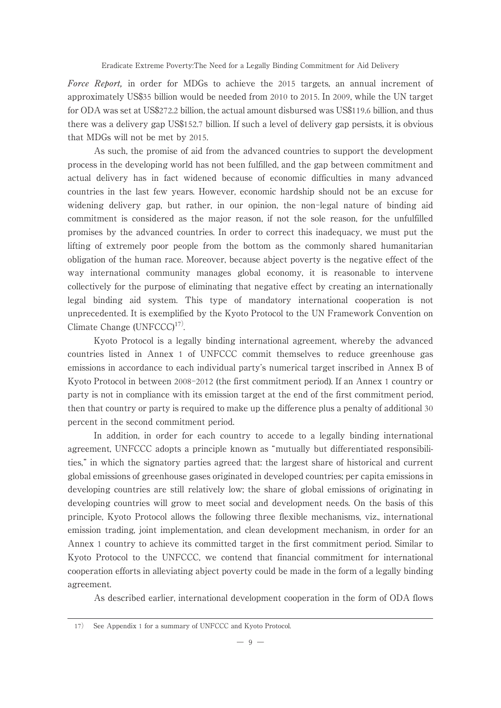Force Report, in order for MDGs to achieve the 2015 targets, an annual increment of approximately US\$35 billion would be needed from 2010 to 2015. In 2009, while the UN target for ODA was set at US\$272.2 billion, the actual amount disbursed was US\$119.6 billion, and thus there was a delivery gap US\$152.7 billion. If such a level of delivery gap persists, it is obvious that MDGs will not be met by 2015.

As such, the promise of aid from the advanced countries to support the development process in the developing world has not been fulfilled, and the gap between commitment and actual delivery has in fact widened because of economic difficulties in many advanced countries in the last few years. However, economic hardship should not be an excuse for widening delivery gap, but rather, in our opinion, the non-legal nature of binding aid commitment is considered as the major reason, if not the sole reason, for the unfulfilled promises by the advanced countries. In order to correct this inadequacy, we must put the lifting of extremely poor people from the bottom as the commonly shared humanitarian obligation of the human race. Moreover, because abject poverty is the negative effect of the way international community manages global economy, it is reasonable to intervene collectively for the purpose of eliminating that negative effect by creating an internationally legal binding aid system. This type of mandatory international cooperation is not unprecedented. It is exemplified by the Kyoto Protocol to the UN Framework Convention on Climate Change  $(UNFCCC)^{17}$ .

Kyoto Protocol is a legally binding international agreement, whereby the advanced countries listed in Annex 1 of UNFCCC commit themselves to reduce greenhouse gas emissions in accordance to each individual party's numerical target inscribed in Annex B of Kyoto Protocol in between 2008-2012 (the first commitment period). If an Annex 1 country or party is not in compliance with its emission target at the end of the first commitment period, then that country or party is required to make up the difference plus a penalty of additional 30 percent in the second commitment period.

In addition, in order for each country to accede to a legally binding international agreement, UNFCCC adopts a principle known as "mutually but differentiated responsibilities," in which the signatory parties agreed that: the largest share of historical and current global emissions of greenhouse gases originated in developed countries; per capita emissions in developing countries are still relatively low; the share of global emissions of originating in developing countries will grow to meet social and development needs. On the basis of this principle, Kyoto Protocol allows the following three flexible mechanisms, viz., international emission trading, joint implementation, and clean development mechanism, in order for an Annex 1 country to achieve its committed target in the first commitment period. Similar to Kyoto Protocol to the UNFCCC, we contend that financial commitment for international cooperation efforts in alleviating abject poverty could be made in the form of a legally binding agreement.

As described earlier, international development cooperation in the form of ODA flows

<sup>17</sup>) See Appendix 1 for a summary of UNFCCC and Kyoto Protocol.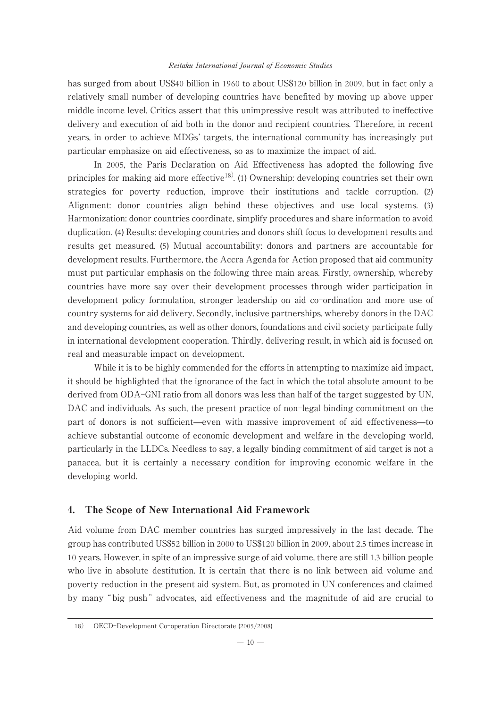has surged from about US\$40 billion in 1960 to about US\$120 billion in 2009, but in fact only a relatively small number of developing countries have benefited by moving up above upper middle income level. Critics assert that this unimpressive result was attributed to ineffective delivery and execution of aid both in the donor and recipient countries. Therefore, in recent years, in order to achieve MDGs' targets, the international community has increasingly put particular emphasize on aid effectiveness, so as to maximize the impact of aid.

In 2005, the Paris Declaration on Aid Effectiveness has adopted the following five principles for making aid more effective<sup>18)</sup>. (1) Ownership: developing countries set their own strategies for poverty reduction, improve their institutions and tackle corruption. (2) Alignment: donor countries align behind these objectives and use local systems. (3) Harmonization: donor countries coordinate, simplify procedures and share information to avoid duplication. (4) Results: developing countries and donors shift focus to development results and results get measured. (5) Mutual accountability: donors and partners are accountable for development results. Furthermore, the Accra Agenda for Action proposed that aid community must put particular emphasis on the following three main areas. Firstly, ownership, whereby countries have more say over their development processes through wider participation in development policy formulation, stronger leadership on aid co-ordination and more use of country systems for aid delivery. Secondly, inclusive partnerships, whereby donors in the DAC and developing countries, as well as other donors, foundations and civil society participate fully in international development cooperation. Thirdly, delivering result, in which aid is focused on real and measurable impact on development.

While it is to be highly commended for the efforts in attempting to maximize aid impact, it should be highlighted that the ignorance of the fact in which the total absolute amount to be derived from ODA-GNI ratio from all donors was less than half of the target suggested by UN, DAC and individuals. As such, the present practice of non-legal binding commitment on the part of donors is not sufficient—even with massive improvement of aid effectiveness—to achieve substantial outcome of economic development and welfare in the developing world, particularly in the LLDCs. Needless to say, a legally binding commitment of aid target is not a panacea, but it is certainly a necessary condition for improving economic welfare in the developing world.

# 4. The Scope of New International Aid Framework

Aid volume from DAC member countries has surged impressively in the last decade. The group has contributed US\$52 billion in 2000 to US\$120 billion in 2009, about 2.5 times increase in 10 years. However, in spite of an impressive surge of aid volume, there are still 1.3 billion people who live in absolute destitution. It is certain that there is no link between aid volume and poverty reduction in the present aid system. But, as promoted in UN conferences and claimed by many " big push " advocates, aid effectiveness and the magnitude of aid are crucial to

<sup>18</sup>) OECD-Development Co-operation Directorate (2005/2008)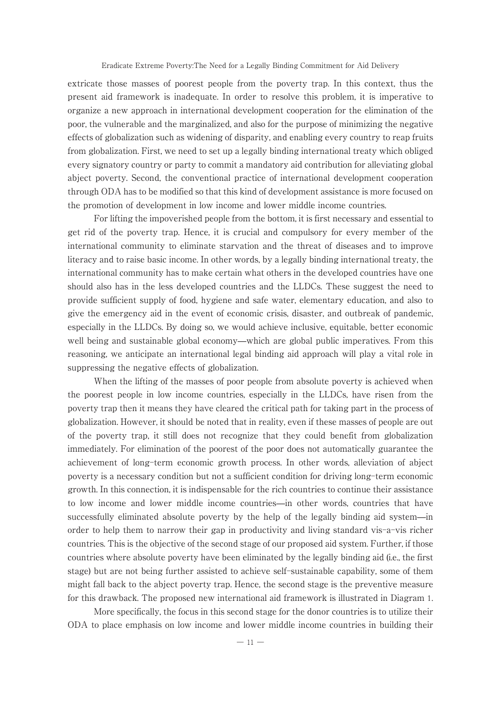extricate those masses of poorest people from the poverty trap. In this context, thus the present aid framework is inadequate. In order to resolve this problem, it is imperative to organize a new approach in international development cooperation for the elimination of the poor, the vulnerable and the marginalized, and also for the purpose of minimizing the negative effects of globalization such as widening of disparity, and enabling every country to reap fruits from globalization. First, we need to set up a legally binding international treaty which obliged every signatory country or party to commit a mandatory aid contribution for alleviating global abject poverty. Second, the conventional practice of international development cooperation through ODA has to be modified so that this kind of development assistance is more focused on the promotion of development in low income and lower middle income countries.

For lifting the impoverished people from the bottom, it is first necessary and essential to get rid of the poverty trap. Hence, it is crucial and compulsory for every member of the international community to eliminate starvation and the threat of diseases and to improve literacy and to raise basic income. In other words, by a legally binding international treaty, the international community has to make certain what others in the developed countries have one should also has in the less developed countries and the LLDCs. These suggest the need to provide sufficient supply of food, hygiene and safe water, elementary education, and also to give the emergency aid in the event of economic crisis, disaster, and outbreak of pandemic, especially in the LLDCs. By doing so, we would achieve inclusive, equitable, better economic well being and sustainable global economy—which are global public imperatives. From this reasoning, we anticipate an international legal binding aid approach will play a vital role in suppressing the negative effects of globalization.

When the lifting of the masses of poor people from absolute poverty is achieved when the poorest people in low income countries, especially in the LLDCs, have risen from the poverty trap then it means they have cleared the critical path for taking part in the process of globalization. However, it should be noted that in reality, even if these masses of people are out of the poverty trap, it still does not recognize that they could benefit from globalization immediately. For elimination of the poorest of the poor does not automatically guarantee the achievement of long-term economic growth process. In other words, alleviation of abject poverty is a necessary condition but not a sufficient condition for driving long-term economic growth. In this connection, it is indispensable for the rich countries to continue their assistance to low income and lower middle income countries̶in other words, countries that have successfully eliminated absolute poverty by the help of the legally binding aid system̶in order to help them to narrow their gap in productivity and living standard vis-a-vis richer countries. This is the objective of the second stage of our proposed aid system. Further, if those countries where absolute poverty have been eliminated by the legally binding aid (i.e., the first stage) but are not being further assisted to achieve self-sustainable capability, some of them might fall back to the abject poverty trap. Hence, the second stage is the preventive measure for this drawback. The proposed new international aid framework is illustrated in Diagram 1.

More specifically, the focus in this second stage for the donor countries is to utilize their ODA to place emphasis on low income and lower middle income countries in building their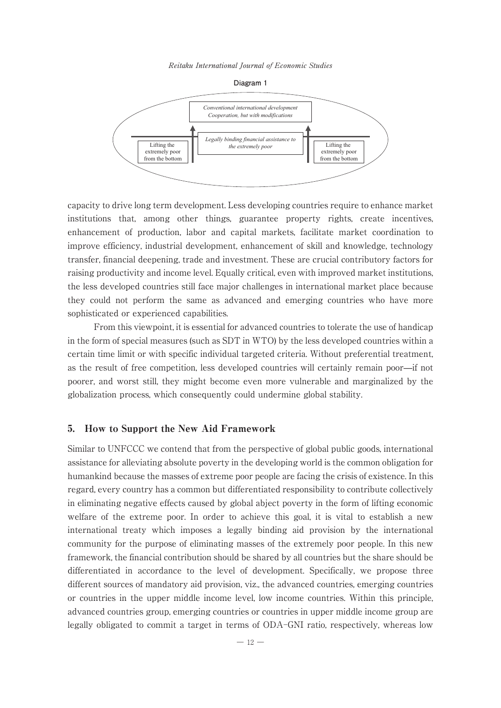Reitaku International Journal of Economic Studies





capacity to drive long term development. Less developing countries require to enhance market institutions that, among other things, guarantee property rights, create incentives, enhancement of production, labor and capital markets, facilitate market coordination to improve efficiency, industrial development, enhancement of skill and knowledge, technology transfer, financial deepening, trade and investment. These are crucial contributory factors for raising productivity and income level. Equally critical, even with improved market institutions, the less developed countries still face major challenges in international market place because they could not perform the same as advanced and emerging countries who have more sophisticated or experienced capabilities.

From this viewpoint, it is essential for advanced countries to tolerate the use of handicap in the form of special measures (such as SDT in WTO) by the less developed countries within a certain time limit or with specific individual targeted criteria. Without preferential treatment, as the result of free competition, less developed countries will certainly remain poor̶if not poorer, and worst still, they might become even more vulnerable and marginalized by the globalization process, which consequently could undermine global stability.

## 5. How to Support the New Aid Framework

Similar to UNFCCC we contend that from the perspective of global public goods, international assistance for alleviating absolute poverty in the developing world is the common obligation for humankind because the masses of extreme poor people are facing the crisis of existence. In this regard, every country has a common but differentiated responsibility to contribute collectively in eliminating negative effects caused by global abject poverty in the form of lifting economic welfare of the extreme poor. In order to achieve this goal, it is vital to establish a new international treaty which imposes a legally binding aid provision by the international community for the purpose of eliminating masses of the extremely poor people. In this new framework, the financial contribution should be shared by all countries but the share should be differentiated in accordance to the level of development. Specifically, we propose three different sources of mandatory aid provision, viz., the advanced countries, emerging countries or countries in the upper middle income level, low income countries. Within this principle, advanced countries group, emerging countries or countries in upper middle income group are legally obligated to commit a target in terms of ODA-GNI ratio, respectively, whereas low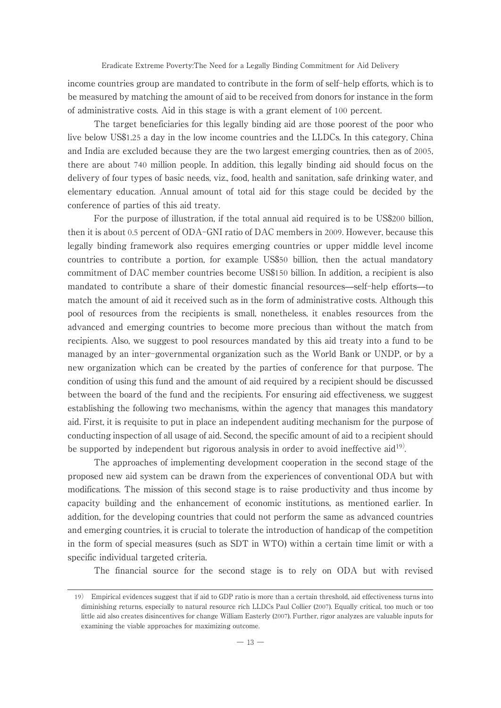income countries group are mandated to contribute in the form of self-help efforts, which is to be measured by matching the amount of aid to be received from donors for instance in the form of administrative costs. Aid in this stage is with a grant element of 100 percent.

The target beneficiaries for this legally binding aid are those poorest of the poor who live below US\$1.25 a day in the low income countries and the LLDCs. In this category, China and India are excluded because they are the two largest emerging countries, then as of 2005, there are about 740 million people. In addition, this legally binding aid should focus on the delivery of four types of basic needs, viz., food, health and sanitation, safe drinking water, and elementary education. Annual amount of total aid for this stage could be decided by the conference of parties of this aid treaty.

For the purpose of illustration, if the total annual aid required is to be US\$200 billion, then it is about 0.5 percent of ODA-GNI ratio of DAC members in 2009. However, because this legally binding framework also requires emerging countries or upper middle level income countries to contribute a portion, for example US\$50 billion, then the actual mandatory commitment of DAC member countries become US\$150 billion. In addition, a recipient is also mandated to contribute a share of their domestic financial resources—self-help efforts—to match the amount of aid it received such as in the form of administrative costs. Although this pool of resources from the recipients is small, nonetheless, it enables resources from the advanced and emerging countries to become more precious than without the match from recipients. Also, we suggest to pool resources mandated by this aid treaty into a fund to be managed by an inter-governmental organization such as the World Bank or UNDP, or by a new organization which can be created by the parties of conference for that purpose. The condition of using this fund and the amount of aid required by a recipient should be discussed between the board of the fund and the recipients. For ensuring aid effectiveness, we suggest establishing the following two mechanisms, within the agency that manages this mandatory aid. First, it is requisite to put in place an independent auditing mechanism for the purpose of conducting inspection of all usage of aid. Second, the specific amount of aid to a recipient should be supported by independent but rigorous analysis in order to avoid ineffective  $\text{aid}^{19}$ .

The approaches of implementing development cooperation in the second stage of the proposed new aid system can be drawn from the experiences of conventional ODA but with modifications. The mission of this second stage is to raise productivity and thus income by capacity building and the enhancement of economic institutions, as mentioned earlier. In addition, for the developing countries that could not perform the same as advanced countries and emerging countries, it is crucial to tolerate the introduction of handicap of the competition in the form of special measures (such as SDT in WTO) within a certain time limit or with a specific individual targeted criteria.

The financial source for the second stage is to rely on ODA but with revised

<sup>19</sup>) Empirical evidences suggest that if aid to GDP ratio is more than a certain threshold, aid effectiveness turns into diminishing returns, especially to natural resource rich LLDCs Paul Collier (2007). Equally critical, too much or too little aid also creates disincentives for change William Easterly (2007). Further, rigor analyzes are valuable inputs for examining the viable approaches for maximizing outcome.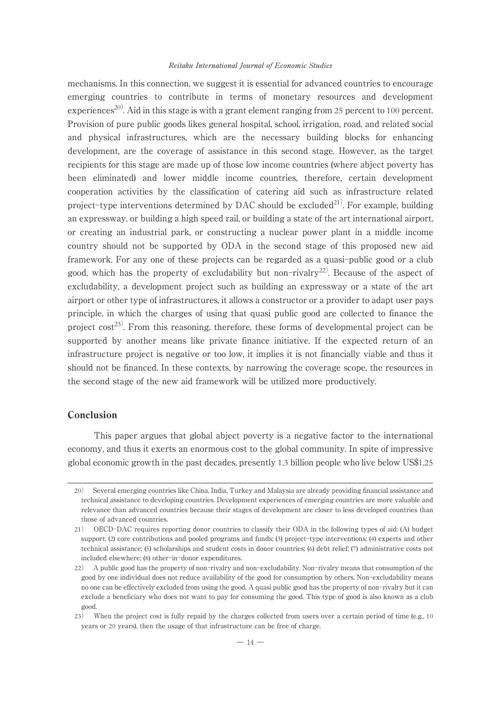mechanisms. In this connection, we suggest it is essential for advanced countries to encourage emerging countries to contribute in terms of monetary resources and development experiences<sup>20)</sup>. Aid in this stage is with a grant element ranging from 25 percent to 100 percent. Provision of pure public goods likes general hospital, school, irrigation, road, and related social and physical infrastructures, which are the necessary building blocks for enhancing development, are the coverage of assistance in this second stage. However, as the target recipients for this stage are made up of those low income countries (where abject poverty has been eliminated) and lower middle income countries, therefore, certain development cooperation activities by the classification of catering aid such as infrastructure related project-type interventions determined by DAC should be excluded<sup>21)</sup>. For example, building an expressway, or building a high speed rail, or building a state of the art international airport, or creating an industrial park, or constructing a nuclear power plant in a middle income country should not be supported by ODA in the second stage of this proposed new aid framework. For any one of these projects can be regarded as a quasi-public good or a club good, which has the property of excludability but non-rivalry<sup>22)</sup>. Because of the aspect of excludability, a development project such as building an expressway or a state of the art airport or other type of infrastructures, it allows a constructor or a provider to adapt user pays principle, in which the charges of using that quasi public good are collected to finance the project cost<sup>23)</sup>. From this reasoning, therefore, these forms of developmental project can be supported by another means like private finance initiative. If the expected return of an infrastructure project is negative or too low, it implies it is not financially viable and thus it should not be financed. In these contexts, by narrowing the coverage scope, the resources in the second stage of the new aid framework will be utilized more productively.

## Conclusion

This paper argues that global abject poverty is a negative factor to the international economy, and thus it exerts an enormous cost to the global community. In spite of impressive global economic growth in the past decades, presently 1.3 billion people who live below US\$1.25

<sup>20</sup>) Several emerging countries like China, India, Turkey and Malaysia are already providing financial assistance and technical assistance to developing countries. Development experiences of emerging countries are more valuable and relevance than advanced countries because their stages of development are closer to less developed countries than those of advanced countries.

<sup>21</sup>) OECD-DAC requires reporting donor countries to classify their ODA in the following types of aid: (A) budget support; (2) core contributions and pooled programs and funds; (3) project-type interventions; (4) experts and other technical assistance; (5) scholarships and student costs in donor countries; (6) debt relief; (7) administrative costs not included elsewhere; (8) other-in-donor expenditures.

<sup>22</sup>) A public good has the property of non-rivalry and non-excludability. Non-rivalry means that consumption of the good by one individual does not reduce availability of the good for consumption by others. Non-excludability means no one can be effectively excluded from using the good. A quasi public good has the property of non-rivalry but it can exclude a beneficiary who does not want to pay for consuming the good. This type of good is also known as a club good.

<sup>23)</sup> When the project cost is fully repaid by the charges collected from users over a certain period of time (e.g., 10) years or 20 years), then the usage of that infrastructure can be free of charge.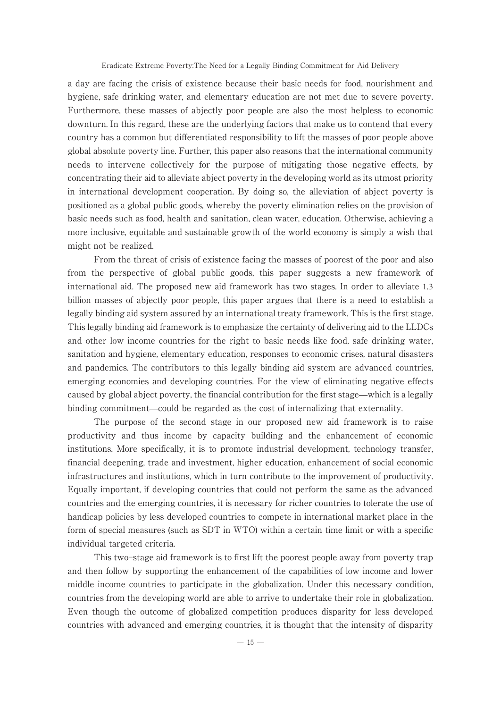a day are facing the crisis of existence because their basic needs for food, nourishment and hygiene, safe drinking water, and elementary education are not met due to severe poverty. Furthermore, these masses of abjectly poor people are also the most helpless to economic downturn. In this regard, these are the underlying factors that make us to contend that every country has a common but differentiated responsibility to lift the masses of poor people above global absolute poverty line. Further, this paper also reasons that the international community needs to intervene collectively for the purpose of mitigating those negative effects, by concentrating their aid to alleviate abject poverty in the developing world as its utmost priority in international development cooperation. By doing so, the alleviation of abject poverty is positioned as a global public goods, whereby the poverty elimination relies on the provision of basic needs such as food, health and sanitation, clean water, education. Otherwise, achieving a more inclusive, equitable and sustainable growth of the world economy is simply a wish that might not be realized.

From the threat of crisis of existence facing the masses of poorest of the poor and also from the perspective of global public goods, this paper suggests a new framework of international aid. The proposed new aid framework has two stages. In order to alleviate 1.3 billion masses of abjectly poor people, this paper argues that there is a need to establish a legally binding aid system assured by an international treaty framework. This is the first stage. This legally binding aid framework is to emphasize the certainty of delivering aid to the LLDCs and other low income countries for the right to basic needs like food, safe drinking water, sanitation and hygiene, elementary education, responses to economic crises, natural disasters and pandemics. The contributors to this legally binding aid system are advanced countries, emerging economies and developing countries. For the view of eliminating negative effects caused by global abject poverty, the financial contribution for the first stage̶which is a legally binding commitment̶could be regarded as the cost of internalizing that externality.

The purpose of the second stage in our proposed new aid framework is to raise productivity and thus income by capacity building and the enhancement of economic institutions. More specifically, it is to promote industrial development, technology transfer, financial deepening, trade and investment, higher education, enhancement of social economic infrastructures and institutions, which in turn contribute to the improvement of productivity. Equally important, if developing countries that could not perform the same as the advanced countries and the emerging countries, it is necessary for richer countries to tolerate the use of handicap policies by less developed countries to compete in international market place in the form of special measures (such as SDT in WTO) within a certain time limit or with a specific individual targeted criteria.

This two-stage aid framework is to first lift the poorest people away from poverty trap and then follow by supporting the enhancement of the capabilities of low income and lower middle income countries to participate in the globalization. Under this necessary condition, countries from the developing world are able to arrive to undertake their role in globalization. Even though the outcome of globalized competition produces disparity for less developed countries with advanced and emerging countries, it is thought that the intensity of disparity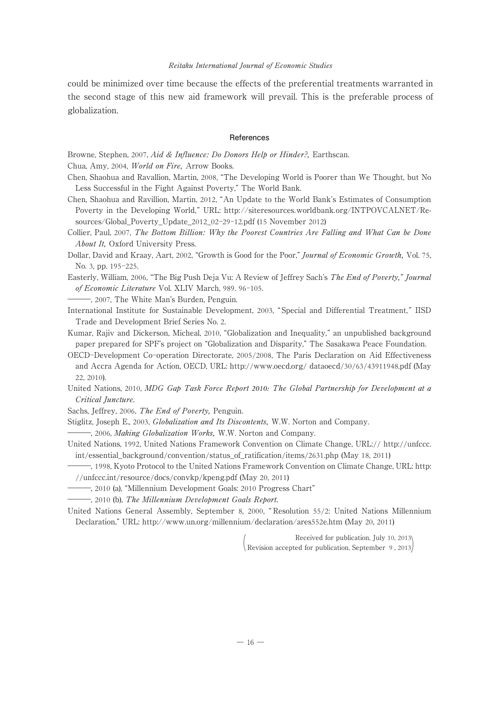could be minimized over time because the effects of the preferential treatments warranted in the second stage of this new aid framework will prevail. This is the preferable process of globalization.

#### **References**

Browne, Stephen, 2007, Aid & Influence: Do Donors Help or Hinder?, Earthscan.

Chua, Amy, 2004, World on Fire, Arrow Books.

- Chen, Shaohua and Ravallion, Martin, 2008, "The Developing World is Poorer than We Thought, but No Less Successful in the Fight Against Poverty," The World Bank.
- Chen, Shaohua and Ravillion, Martin, 2012, "An Update to the World Bank's Estimates of Consumption Poverty in the Developing World," URL: http://siteresources.worldbank.org/INTPOVCALNET/Resources/Global\_Poverty\_Update\_2012\_02-29-12.pdf (15 November 2012)
- Collier, Paul, 2007, The Bottom Billion: Why the Poorest Countries Are Falling and What Can be Done About It, Oxford University Press.

Dollar, David and Kraay, Aart, 2002, "Growth is Good for the Poor," Journal of Economic Growth, Vol. 75, No. 3, pp. 195-225.

Easterly, William, 2006, "The Big Push Deja Vu: A Review of Jeffrey Sach's The End of Poverty," Journal of Economic Literature Vol. XLIV March, 989. 96-105.

―――, 2007, The White Man's Burden, Penguin.

International Institute for Sustainable Development, 2003, " Special and Differential Treatment, " IISD Trade and Development Brief Series No. 2.

Kumar, Rajiv and Dickerson, Micheal, 2010, "Globalization and Inequality," an unpublished background paper prepared for SPF's project on "Globalization and Disparity," The Sasakawa Peace Foundation.

OECD-Development Co-operation Directorate, 2005/2008, The Paris Declaration on Aid Effectiveness and Accra Agenda for Action, OECD, URL: http://www.oecd.org/ dataoecd/30/63/43911948.pdf (May 22, 2010).

United Nations, 2010, MDG Gap Task Force Report *2010:* The Global Partnership for Development at a Critical Juncture.

Sachs, Jeffrey, 2006, The End of Poverty, Penguin.

Stiglitz, Joseph E., 2003, Globalization and Its Discontents, W.W. Norton and Company.

, 2006, Making Globalization Works, W.W. Norton and Company.

United Nations, 1992, United Nations Framework Convention on Climate Change, URL:// http://unfccc. int/essential\_background/convention/status\_of\_ratification/items/2631.php (May 18, 2011)

―――, 1998, Kyoto Protocol to the United Nations Framework Convention on Climate Change, URL: http: //unfccc.int/resource/docs/convkp/kpeng.pdf (May 20, 2011)

―――, 2010 (a), "Millennium Development Goals: 2010 Progress Chart"

―――, 2010 (b), The Millennium Development Goals Report.

United Nations General Assembly, September 8, 2000, " Resolution 55/2: United Nations Millennium Declaration," URL: http://www.un.org/millennium/declaration/ares552e.htm (May 20, 2011)

( Received for publication, July <sup>10</sup>, <sup>2013</sup> Revision accepted for publication, September <sup>9</sup> , 2013)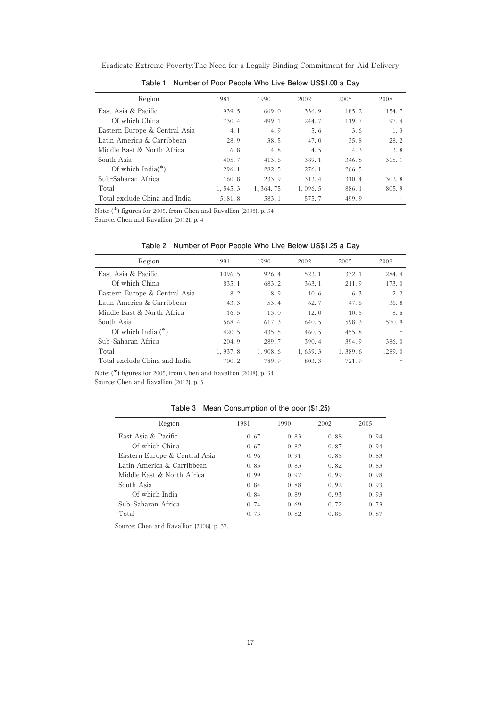| Eradicate Extreme Poverty: The Need for a Legally Binding Commitment for Aid Delivery |  |  |  |
|---------------------------------------------------------------------------------------|--|--|--|
|---------------------------------------------------------------------------------------|--|--|--|

| Region                        | 1981      | 1990       | 2002    | 2005  | 2008  |
|-------------------------------|-----------|------------|---------|-------|-------|
| East Asia & Pacific           | 939.5     | 669.0      | 336.9   | 185.2 | 154.7 |
| Of which China                | 730.4     | 499.1      | 244.7   | 119.7 | 97.4  |
| Eastern Europe & Central Asia | 4.1       | 4.9        | 5.6     | 3.6   | 1.3   |
| Latin America & Carribbean    | 28.9      | 38.5       | 47.0    | 35.8  | 28.2  |
| Middle East & North Africa    | 6.8       | 4.8        | 4.5     | 4.3   | 3.8   |
| South Asia                    | 405.7     | 413.6      | 389.1   | 346.8 | 315.1 |
| Of which India( $*$ )         | 296.1     | 282.5      | 276.1   | 266.5 |       |
| Sub-Saharan Africa            | 160.8     | 233.9      | 313.4   | 310.4 | 302.8 |
| Total                         | 1, 545. 3 | 1, 364. 75 | 1.096.5 | 886.1 | 805.9 |
| Total exclude China and India | 5181.8    | 583.1      | 575.7   | 499.9 |       |

**Table 1 Number of Poor People Who Live Below US\$1.00 a Day**

Note: (\*) figures for 2005, from Chen and Ravallion (2008), p. 34

Source: Chen and Ravallion (2012), p. 4

| Region                        | 1981     | 1990    | 2002      | 2005    | 2008   |
|-------------------------------|----------|---------|-----------|---------|--------|
| East Asia & Pacific           | 1096.5   | 926.4   | 523.1     | 332.1   | 284.4  |
| Of which China                | 835.1    | 683.2   | 363.1     | 211.9   | 173.0  |
| Eastern Europe & Central Asia | 8.2      | 8.9     | 10.6      | 6.3     | 2.2    |
| Latin America & Carribbean    | 43.3     | 53.4    | 62.7      | 47.6    | 36.8   |
| Middle East & North Africa    | 16.5     | 13.0    | 12.0      | 10.5    | 8.6    |
| South Asia                    | 568.4    | 617.3   | 640.5     | 598.3   | 570.9  |
| Of which India $(*)$          | 420.5    | 435.5   | 460.5     | 455.8   |        |
| Sub-Saharan Africa            | 204.9    | 289.7   | 390.4     | 394.9   | 386.0  |
| Total                         | 1, 937.8 | 1,908.6 | 1, 639. 3 | 1.389.6 | 1289.0 |
| Total exclude China and India | 700.2    | 789.9   | 803.3     | 721.9   |        |

Note: (\*) figures for 2005, from Chen and Ravallion (2008), p. 34

Source: Chen and Ravallion (2012), p. 5

| Mean Consumption of the poor (\$1.25) | Table 3 |  |  |  |  |  |  |
|---------------------------------------|---------|--|--|--|--|--|--|
|---------------------------------------|---------|--|--|--|--|--|--|

| Region                        | 1981 | 1990 | 2002 | 2005 |
|-------------------------------|------|------|------|------|
| East Asia & Pacific           | 0.67 | 0.83 | 0.88 | 0.94 |
| Of which China                | 0.67 | 0.82 | 0.87 | 0.94 |
| Eastern Europe & Central Asia | 0.96 | 0.91 | 0.85 | 0.83 |
| Latin America & Carribbean    | 0.83 | 0.83 | 0.82 | 0.83 |
| Middle East & North Africa    | 0.99 | 0.97 | 0.99 | 0.98 |
| South Asia                    | 0.84 | 0.88 | 0.92 | 0.93 |
| Of which India                | 0.84 | 0.89 | 0.93 | 0.93 |
| Sub-Saharan Africa            | 0.74 | 0.69 | 0.72 | 0.73 |
| Total                         | 0.73 | 0.82 | 0.86 | 0.87 |

Source: Chen and Ravallion (2008), p. 37.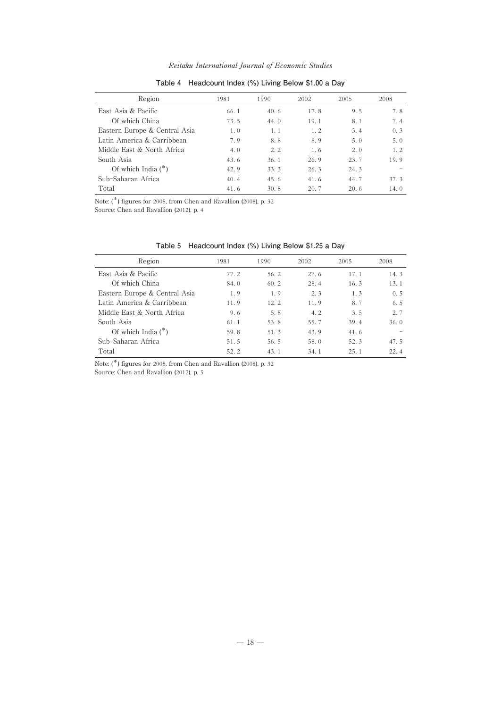| Region                        | 1981 | 1990 | 2002 | 2005 | 2008 |
|-------------------------------|------|------|------|------|------|
| East Asia & Pacific           | 66.1 | 40.6 | 17.8 | 9.5  | 7.8  |
| Of which China                | 73.5 | 44.0 | 19.1 | 8.1  | 7.4  |
| Eastern Europe & Central Asia | 1.0  | 1.1  | 1.2  | 3.4  | 0.3  |
| Latin America & Carribbean    | 7.9  | 8.8  | 8.9  | 5.0  | 5.0  |
| Middle East & North Africa    | 4.0  | 2.2  | 1.6  | 2.0  | 1.2  |
| South Asia                    | 43.6 | 36.1 | 26.9 | 23.7 | 19.9 |
| Of which India $(*)$          | 42.9 | 33.3 | 26.3 | 24.3 |      |
| Sub-Saharan Africa            | 40.4 | 45.6 | 41.6 | 44.7 | 37.3 |
| Total                         | 41.6 | 30.8 | 20.7 | 20.6 | 14.0 |

## **Table 4 Headcount Index (%) Living Below \$1.00 a Day**

Note: (\*) figures for 2005, from Chen and Ravallion (2008), p. 32

Source: Chen and Ravallion (2012), p. 4

| Region                        | 1981 | 1990 | 2002 | 2005 | 2008 |
|-------------------------------|------|------|------|------|------|
| East Asia & Pacific           | 77.2 | 56.2 | 27.6 | 17.1 | 14.3 |
| Of which China                | 84.0 | 60.2 | 28.4 | 16.3 | 13.1 |
| Eastern Europe & Central Asia | 1.9  | 1.9  | 2.3  | 1.3  | 0.5  |
| Latin America & Carribbean    | 11.9 | 12.2 | 11.9 | 8.7  | 6.5  |
| Middle East & North Africa    | 9.6  | 5.8  | 4.2  | 3.5  | 2.7  |
| South Asia                    | 61.1 | 53.8 | 55.7 | 39.4 | 36.0 |
| Of which India $(*)$          | 59.8 | 51.3 | 43.9 | 41.6 |      |
| Sub-Saharan Africa            | 51.5 | 56.5 | 58.0 | 52.3 | 47.5 |
| Total                         | 52.2 | 43.1 | 34.1 | 25.1 | 22.4 |

**Table 5 Headcount Index (%) Living Below \$1.25 a Day**

Note: (\*) figures for 2005, from Chen and Ravallion (2008), p. 32

Source: Chen and Ravallion (2012), p. 5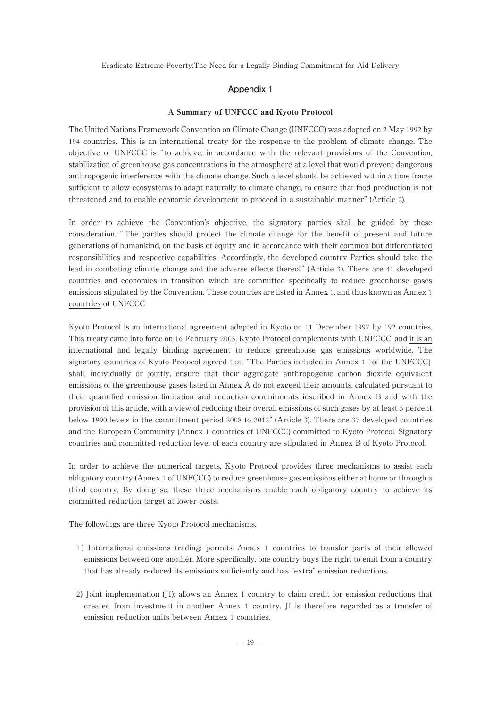#### **Appendix 1**

#### A Summary of UNFCCC and Kyoto Protocol

The United Nations Framework Convention on Climate Change (UNFCCC) was adopted on 2 May 1992 by 194 countries. This is an international treaty for the response to the problem of climate change. The objective of UNFCCC is " to achieve, in accordance with the relevant provisions of the Convention, stabilization of greenhouse gas concentrations in the atmosphere at a level that would prevent dangerous anthropogenic interference with the climate change. Such a level should be achieved within a time frame sufficient to allow ecosystems to adapt naturally to climate change, to ensure that food production is not threatened and to enable economic development to proceed in a sustainable manner" (Article 2).

In order to achieve the Convention's objective, the signatory parties shall be guided by these consideration. " The parties should protect the climate change for the benefit of present and future generations of humankind, on the basis of equity and in accordance with their common but differentiated responsibilities and respective capabilities. Accordingly, the developed country Parties should take the lead in combating climate change and the adverse effects thereof" (Article 3). There are 41 developed countries and economies in transition which are committed specifically to reduce greenhouse gases emissions stipulated by the Convention. These countries are listed in Annex 1, and thus known as Annex 1 countries of UNFCCC

Kyoto Protocol is an international agreement adopted in Kyoto on 11 December 1997 by 192 countries. This treaty came into force on 16 February 2005. Kyoto Protocol complements with UNFCCC, and it is an international and legally binding agreement to reduce greenhouse gas emissions worldwide. The signatory countries of Kyoto Protocol agreed that "The Parties included in Annex 1 [ of the UNFCCC] shall, individually or jointly, ensure that their aggregate anthropogenic carbon dioxide equivalent emissions of the greenhouse gases listed in Annex A do not exceed their amounts, calculated pursuant to their quantified emission limitation and reduction commitments inscribed in Annex B and with the provision of this article, with a view of reducing their overall emissions of such gases by at least 5 percent below 1990 levels in the commitment period 2008 to 2012" (Article 3). There are 37 developed countries and the European Community (Annex 1 countries of UNFCCC) committed to Kyoto Protocol. Signatory countries and committed reduction level of each country are stipulated in Annex B of Kyoto Protocol.

In order to achieve the numerical targets, Kyoto Protocol provides three mechanisms to assist each obligatory country (Annex 1 of UNFCCC) to reduce greenhouse gas emissions either at home or through a third country. By doing so, these three mechanisms enable each obligatory country to achieve its committed reduction target at lower costs.

The followings are three Kyoto Protocol mechanisms.

- 1 ) International emissions trading: permits Annex 1 countries to transfer parts of their allowed emissions between one another. More specifically, one country buys the right to emit from a country that has already reduced its emissions sufficiently and has "extra" emission reductions.
- 2) Joint implementation (JI): allows an Annex 1 country to claim credit for emission reductions that created from investment in another Annex 1 country. JI is therefore regarded as a transfer of emission reduction units between Annex 1 countries.